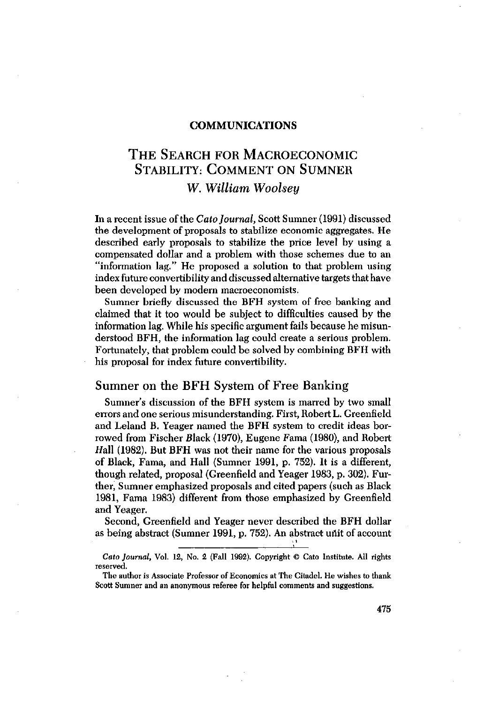#### COMMUNICATIONS

# THE SEARCH FOR MACROECONOMIC STABILITY: COMMENT ON SUMNER *W. William Woolsey*

In a recent issue of the *Cato Journal,* Scott Sumner (1991) discussed the development of proposals to stabilize economic aggregates. He described early proposals to stabilize the price level by using a compensated dollar and a problem with those schemes due to an "information lag." He proposed a solution to that problem using index future convertibility and discussed alternative targets that have been developed by modern macroeconomists.

Sumner briefly discussed the BFH system of free banking and claimed that it too would be subject to difficulties caused by the information lag. While his specific argument fails because he misunderstood BFH, the information lag could create a serious problem. Fortunately, that problem could be solved by combining BFH with his proposal for index future convertibility.

### Sumner on the BFH System of Free Banking

Sumner's discussion of the BFH system is marred by two small errors and one serious misunderstanding. First, Robert L. Greenfield and Leland B, Yeager named the BFH system to credit ideas borrowed from Fischer Black (1970), Eugene Fama (1980), and Robert Hall (1982). But BFH was not their name for the various proposals of Black, Fama, and Hall (Sumner 1991, p. 752). It is a different, though related, proposal (Greenfield and Yeager 1983, p. 302). Further, Sumner emphasized proposals and cited papers (such as Black 1981, Fama 1983) different from those emphasized by Greenfield and Yeager,

Second, Greenfield and Yeager never described the BFH dollar as being abstract (Sumner 1991, p. 752). An abstract unit of account

*Cato Journal,* Vol. 12, No. 2 (Fall 1992). Copyright *©* Cato Institute. All rights reserved.

The author is Associate Professor of Economics at The Citadel. He wishes to thank Scott Sumner and an anonymous referee for helpful comments and suggestions.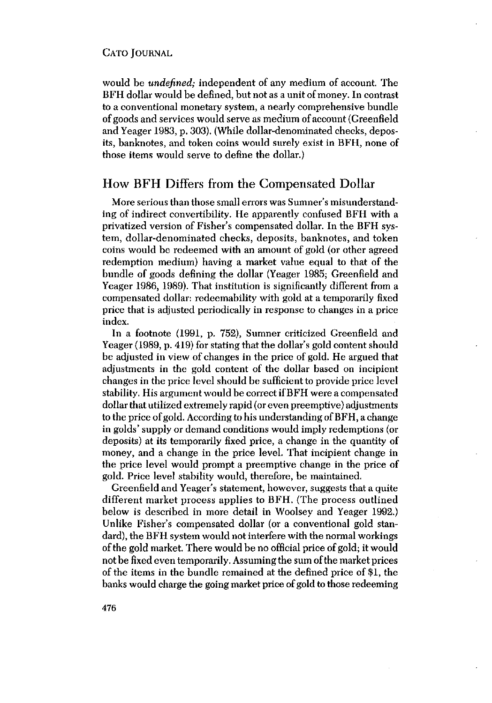would be *undefined;* independent of any medium of account. The BFH dollar would be defined, but not as a unit of money. In contrast to a conventional monetary system, a nearly comprehensive bundle of goodsand services would serve as medium of account (Greenfield and Yeager 1983, p. 303). (While dollar-denominated checks, deposits, banknotes, and token coins would surely exist in BFH, none of those items would serve to define the dollar.)

# How BFH Differs from the Compensated Dollar

More serious than those small errors was Sumner's misunderstanding of indirect convertibility. He apparently confused BFH with a privatized version of Fisher's compensated dollar. In the BFH system, dollar-denominated checks, deposits, banknotes, and token coins would be redeemed with an amount of gold (or other agreed redemption medium) having a market value equal to that of the bundle of goods defining the dollar (Yeager 1985; Greenfield and Yeager 1986, 1989). That institution is significantly different from a compensated dollar: redeemability with gold at a temporarily fixed price that is adjusted periodically in response to changes in a price index.

In a footnote (1991, p. 752), Sumner criticized Greenfield and Yeager (1989, p. 419) for stating that the dollar's gold content should be adjusted in view of changes in the price of gold. He argued that adjustments in the gold content of the dollar based on incipient changes in the price level should be sufficient to provide price level stability. His argument would be correctifBFH were a compensated dollar that utilized extremely rapid (or even preemptive) adjustments to the price of gold. According to his understanding of BFH, a change in golds' supply or demand conditions would imply redemptions (or deposits) at its temporarily fixed price, a change in the quantity of money, and a change in the price level. That incipient change in the price level would prompt a preemptive change in the price of gold. Price level stability would, therefore, be maintained.

Greenfield and Yeager's statement, however, suggests that a quite different market process applies to BFH. (The process outlined below is described in more detail in Woolsey and Yeager 1992.) Unlike Fisher's compensated dollar (or a conventional gold standard), the BFH system would not interfere with the normal workings ofthe gold market. There would be no official price of gold; it would not be fixed even temporarily. Assuming the sum of the market prices of the items in the bundle remained at the defined price of \$1, the banks would charge the going market price of gold to those redeeming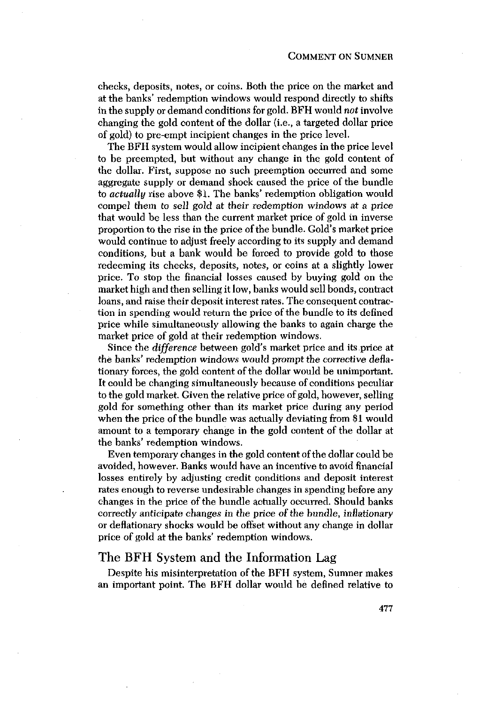checks, deposits, notes, or coins. Both the price on the market and at the banks' redemption windows would respond directly to shifts in the supply or demand conditions for gold. BFH would *not* involve changing the gold content of the dollar (i.e., a targeted dollar price of gold) to pre-empt incipient changes in the price level.

The BFH system would allow incipient changes in the price level to be preempted, but without any change in the gold content of the dollar. First, suppose no such preemption occurred and some aggregate supply or demand shock caused the price of the bundle to *actually* rise above \$1. The banks' redemption obligation would compel them *to* sell gold at their redemption windows at a price that would be less than the current market price of gold in inverse proportion to the rise in the price of the bundle. Gold's market price would continue to adjust freely according to its supply and demand conditions, but a bank would be forced to provide gold to those redeeming its checks, deposits, notes, or coins at a slightly lower price. To stop the financial losses caused by buying gold on the market high and then selling itlow, banks would sell bonds, contract loans, and raise their deposit interest rates. The consequent contraction in spending would return the price of the bundle to its defined price while simultaneously allowing the banks to again charge the market price of gold at their redemption windows.

Since the *difference* between gold's market price and its.price at the banks' redemption windows would prompt the corrective deflationary forces, the gold content of the dollar would be unimportant. It could be changing simultaneously because of conditions peculiar to the goldmarket. Given the relative price of gold, however, selling gold for something other than its market price during any period when the price of the bundle was actually deviating from \$1 would amount to a temporary change in the gold content of the dollar at the banks' redemption windows.

Even temporary changes in the gold content of the dollar could be avoided, however. Banks would have an incentive to avoid financial losses entirely by adjusting credit conditions and deposit interest rates enough to reverse undesirable changes in spending before any changes in the price of the bundle actually occurred. Should banks correctly anticipate changes in the price of the bundle, inflationary or deflationary shocks would be offset without any change in dollar price of gold at the banks' redemption windows.

### The BFH System and the Information Lag

Despite his misinterpretation of the BFH system, Sumner makes an important point. The BFH dollar would be defined relative to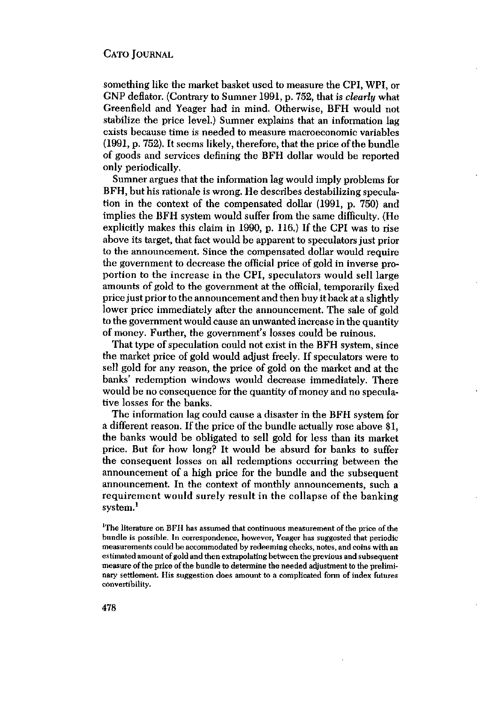something like the market basket used to measure the CPI, WPI, or GNP deflator. (Contrary to Sumner 1991, p. 752, that is *clearly* what Greenfield and Yeager had in mind, Otherwise, BFH would not stabilize the price level.) Sumner explains that an information lag exists because time is needed to measure macroeconomic variables (1991, p. 752). It seems likely, therefore, that the price of the bundle of goods and services defining the BFH dollar would be reported only periodically.

Sumner argues that the information lag would imply problems for BFH, but his rationale is wrong. He describes destabilizing speculation in the context of the compensated dollar (1991, p. 750) and implies the BFH system would suffer from the same difficulty. (He explicitly makes this claim in 1990, p. 116.) If the CPI was to rise above its target, that fact would be apparent to speculators just prior to the announcement, Since the compensated dollar would require the government to decrease the official price of gold in inverse proportion to the increase in the CPI, speculators would sell large amounts of gold to the government at the official, temporarily fixed price just prior to the announcement and then buy it back at a slightly lower price immediately after the announcement. The sale of gold to the government would cause an unwanted increase inthe quantity of money. Further, the government's losses could be ruinous.

That type of speculation could not exist in the BFH system, since the market price of gold would adjust freely. If speculators were to sell gold for any reason, the price of gold on the market and at the banks' redemption windows would decrease immediately. There would be no consequence for the quantity of money and no speculative losses for the banks.

The information lag could cause a disaster in the BFH system for a different reason. If the price of the bundle actually rose above \$1, the banks would be obligated to sell gold for less than its market price. But for how long? It would be absurd for banks to suffer the consequent losses on all redemptions occurring between the announcement of a high price for the bundle and the subsequent announcement. In the context of monthly announcements, such a requirement would surely result in the collapse of the banking system.'

<sup>1</sup>The literature on BFH has assumed that continuous measurement of the price of the bundle is possible, In correspondence, however, Veager has suggested that periodic measurements could be accommodated by redeeming checks, notes, and coins with an estimated amount of gold and then extrapolating between the previous and subsequent measure ofthe price ofthe bundle to determine the needed adjustment to the preliminary settlement. His suggestion does amount to a complicated form of index futures convertibility.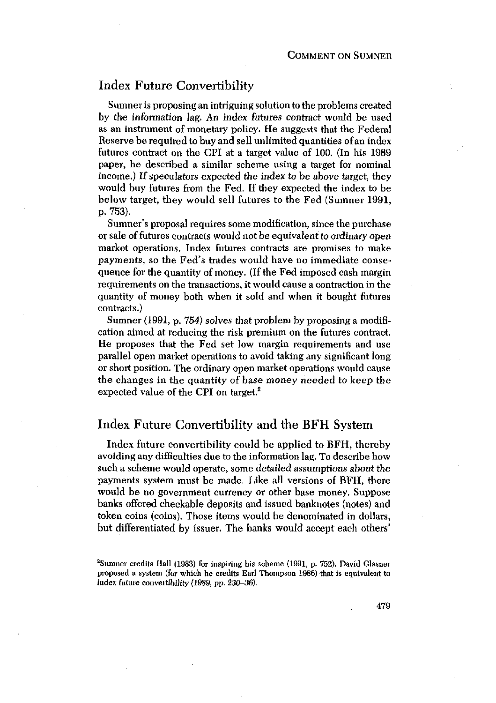# Index Future Convertibility

Sumner is proposing an intriguing solution to the problems created by the information lag. An index futures contract would be used as an instrument of monetary policy. He suggests that the Federal Reserve be required to buy and sell unlimited quantities ofan index futures contract on the CPI at a target value of 100, (In his 1989 paper, he described a similar scheme using a target for nominal income.) If speculators expected the index to be above target, they would buy futures from the Fed. If they expected the index to be below target, they would sell futures to the Fed (Sumner 1991, p. 753).

Sumner's proposal requires some modification, since the purchase or sale of futures contracts would not be equivalent to ordinary open market operations. Index futures contracts are promises to make payments, so the Fed's trades would have no immediate consequence for the quantity of money. (If the Fed imposed cash margin requirements on the transactions, it would cause a contraction in the quantity of money both when it sold and when it bought futures contracts.)

Sumner (1991, p. *754)* solves that problem by proposing a modification aimed at reducing the risk premium on the futures contract, He proposes that the Fed set low margin requirements and use parallel open market operations to avoid taking any significant long or short position. The ordinary open market operations would cause the changes in the quantity of base money needed to keep the expected value of the CPI on target.<sup>2</sup>

# Index Future Convertibility and the BFH System

Index future convertibility could be applied to BFH, thereby avoiding any difficulties due to the information lag. To describe how such a scheme would operate, some detailed assumptions about the payments system must be made. Like all versions of BFH, there would be no government currency or other base money. Suppose banks offered checkable deposits and issued banknotes (notes) and token coins (coins). Those items would be denominated in dollars, but differentiated by issuer. The banks would accept each others'

<sup>&#</sup>x27;Sumner credits Hall (1983) for inspiring his scheme (1991, p. 752). David Glasner proposed a system (for which he credits Earl Thompson 1986) that is equivalent to index future convertibility (1989, pp. 230-36).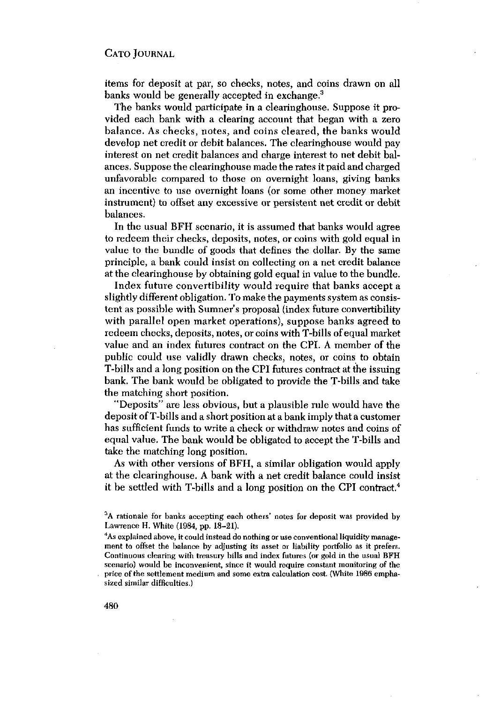items for deposit at par, so checks, notes, and coins drawn on all banks would be generally accepted in exchange.<sup>3</sup>

The banks would participate in a clearinghouse. Suppose it provided each bank with a clearing account that began with a zero balance. As checks, notes, and coins cleared, the banks would develop net credit or debit balances. The clearinghouse would pay interest on net credit balances and charge interest to net debit balances. Suppose the clearinghouse made the rates it paid and charged unfavorable compared to those on overnight loans, giving banks an incentive to use overnight loans (or some other money market instrument) to offset any excessive or persistent net credit or debit balances,

In the usual BFH scenario, it is assumed that banks would agree to redeem their checks, deposits, notes, or coins with gold equal in value to the bundle of goods that defines the dollar. By the same principle, a bank could insist on collecting on a net credit balance at the clearinghouse by obtaining gold equal in value to the bundle.

Index future convertibility would require that banks accept a slightly different obligation. To make the payments system as consistent as possible with Sumner's proposal (index future convertibility with parallel open market operations), suppose banks agreed to redeem checks, deposits, notes, or coins with T-bills of equal market value and an index futures contract on the CPI. A member of the public could use validly drawn checks, notes, or coins to obtain T-bills and a long position on the CPI futures contract at the issuing bank. The bank would be obligated to provide the T-bills and take the matching short position.

"Deposits" are less obvious, but a plausible rule would have the deposit ofT-bills and a short position at a bank imply that a customer has sufficient funds to write a check or withdraw notes and coins of equal value. The bank would be obligated to accept the T-bills and take the matching long position.

As with other versions of BFH, a similar obligation would apply at the clearinghouse. A bank with a net credit balance could insist it be settled with T-bills and <sup>a</sup> long position on the CPI contract.4

<sup>&</sup>lt;sup>3</sup>A rationale for banks accepting each others' notes for deposit was provided by Lawrence H. White (1984, pp. 18—21). <sup>4</sup>

<sup>&</sup>lt;sup>4</sup>As explained above, it could instead do nothing or use conventional liquidity management to offset the balance by adjusting its asset or liability portfolio as it prefers. Continuous clearing with treasury bills and index futures (or gold in the usual BFH scenario) would be inconvenient, since it would require constant monitoring of the price of the settlement medium and some extra calculation cost. (White 1986 emphasized similar difficulties.)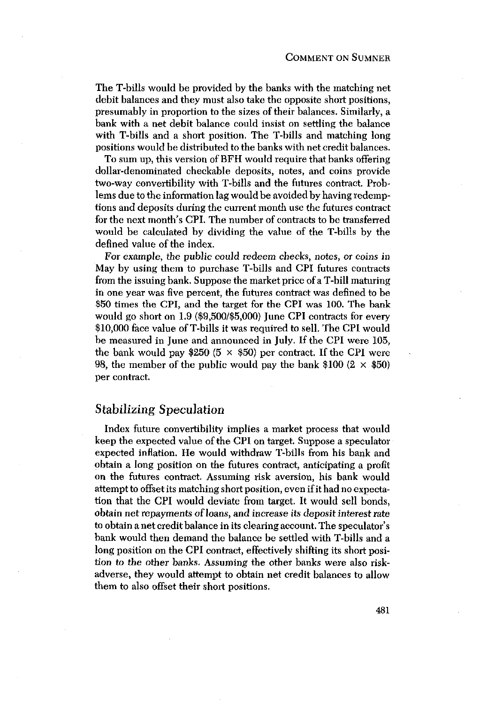The T-bills would be provided by the banks with the matching net debit balances and they must also take the opposite short positions, presumably in proportion to the sizes of their balances. Similarly, a bank with a net debit balance could insist on settling the balance with T-bills and a short position. The T-bills and matching long positions would be distributed to the banks with net credit balances.

To sum up, this version of BFH would require that banks offering dollar-denominated checkable deposits, notes, and coins provide two-way convertibility with T-bills and the futures contract. Problems due to the information lag would be avoided by having redemptions and deposits during the current month use the futures contract for the next month's CPI. The number of contracts to be transferred would be calculated by dividing the value of the T-bills by the defined value of the index.

For example, the public could redeem checks, notes, or coins in May by using them to purchase T-bills and CPI futures contracts from the issuing bank. Suppose the market price ofa T-bill maturing in one year was five percent, the futures contract was defined to be \$50 times the CPI, and the target for the CPI was 100. The bank would go short on 1.9 (\$9,500/\$5,000) June CPI contracts for every \$10,000 face value of T-bills it was required to sell. The CPI would be measured in June and announced in July. If the CPI were 105, the bank would pay \$250 (5  $\times$  \$50) per contract. If the CPI were 98, the member of the public would pay the bank  $$100 (2 \times $50)$ per contract.

# Stabilizing *Speculation*

Index future convertibility implies a market process that would keep the expected value of the CPI on target. Suppose a speculator expected inflation. He would withdraw T-bills from his bank and obtain a long position on the futures contract, anticipating a profit on the futures contract. Assuming risk aversion, his bank would attempt to offsetits matching short position, evenif it had no expectation that the CPI would deviate from target. It would sell bonds, obtain net repayments of loans, and increase its deposit interest rate to obtain a net credit balance in its clearing account. The speculator's bank would then demand the balance be settled with T-bills and a long position on the CPI contract, effectively shifting its short position to the other banks. Assuming the other banks were also riskadverse, they would attempt to obtain net credit balances to allow them to also offset their short positions.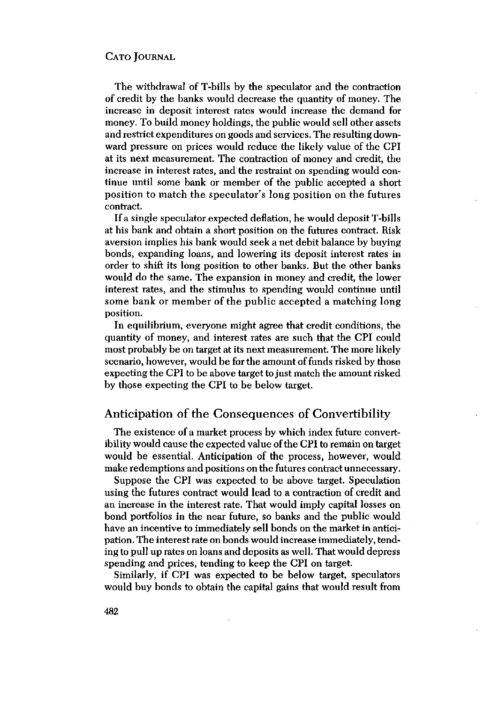The withdrawal of T-bills by the speculator and the contraction of credit by the banks would decrease the quantity of money. The increase in deposit interest rates would increase the demand for money. To build money holdings, the public would sell other assets and restrict expenditures on goods and services. The resulting downward pressure on prices would reduce the likely value of the CPI at its next measurement. The contraction of money and credit, the increase in interest rates, and the restraint on spending would continue until some bank or member of the public accepted a short position to match the speculator's long position on the futures contract.

If a single speculator expected deflation, he would depositT-bills at his bank and obtain a short position on the futures contract. Risk aversion implies his bank would seek a net debit balance by buying bonds, expanding loans, and lowering its deposit interest rates in order to shift its long position to other banks. But the other banks would do the same. The expansion in money and credit, the lower interest rates, and the stimulus to spending would continue until some bank or member of the public accepted a matching long position.

In equilibrium, everyone might agree that credit conditions, the quantity of money, and interest rates are such that the CPI could most probably be on target at its next measurement. The more likely scenario, however, would be for the amount of funds risked by those expecting the CPI to be above target to just match the amount risked by those expecting the CPI to be below target.

# Anticipation of the Consequences of Convertibility

The existence of amarket process by which index future convertibility would cause the expected value ofthe CPI to remain on target would be essential. Anticipation of the process, however, would make redemptions and positions on the futures contract unnecessary.

Suppose the CPI was expected to be above target. Speculation using the futures contract would lead to a contraction of credit and an increase in the interest rate. That would imply capital losses on bond portfolios in the near future, so banks and the public would have an incentive to immediately sell bonds on the market in anticipation. The interest rate on bonds would increase immediately, tending to pull up rates on loans and deposits as well. That would depress spending and prices, tending to keep the CPI on target.

Similarly, if CPI was expected to be below target, speculators would buy bonds to obtain the capital gains that would result from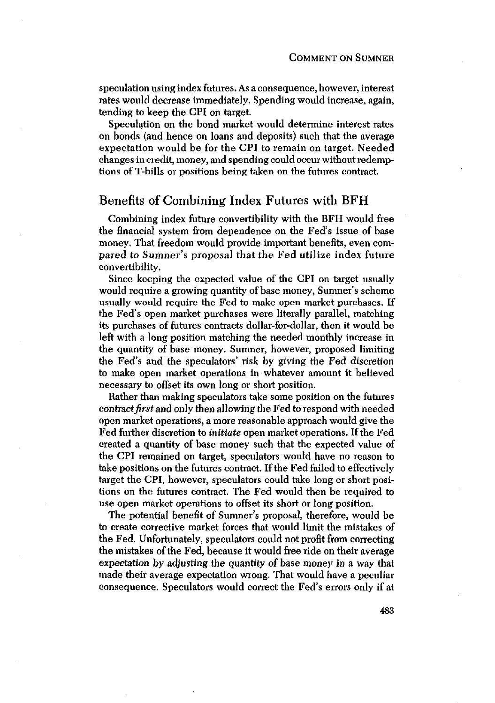speculation using index futures. As a consequence, however, interest rates would decrease immediately. Spending would increase, again, tending to keep the CPI on target.

Speculation on the bond market would determine interest rates on bonds (and hence on loans and deposits) such that the average expectation would be for the CPI to remain on target. Needed changes incredit, money, and spending could occur without redemptions of T-bills or positions being taken on the futures contract.

# Benefits of Combining Index Futures with BFH

Combining index future convertibility with the BFH would free the financial system from dependence on the Fed's issue of base money. That freedom would provide important benefits, even compared *to* Sumner's proposal that the Fed utilize index future convertibility.

Since keeping the expected value of the CPI on target usually would require a growing quantity of base money, Sumner's scheme usually would require the Fed to make open market purchases. If the Fed's open market purchases were literally parallel, matching its purchases of futures contracts dollar-for-dollar, then it would be left with a long position matching the needed monthly increase in the quantity of base money. Sumner, however, proposed limiting the Fed's and the speculators' risk by giving the Fed discretion to make open market operations in whatever amount it believed necessary to offset its own long or short position.

Rather than making speculators take some position on the futures eontract first and only then allowing the Fed to respond with needed open market operations, a more reasonable approach would give the Fed further discretion to *initiate* open market operations. If the Fed created a quantity of base money such that the expected value of the CPI remained on target, speculators would have no reason to take positions on the futures contract. If the Fed failed to effectively target the CPI, however, speculators could take long or short positions on the futures contract. The Fed would then be required to use open market operations to offset its short or long position,

The potential benefit of Sumner's proposal, therefore, would be to create corrective market forces that would limit the mistakes of the Fed. Unfortunately, speculators could not profit from correcting the mistakes of the Fed, because it would free ride on their average expectation by adjusting the quantity of base money in a way that made their average expectation wrong. That would have a peculiar consequence. Speculators would correct the Fed's errors only if at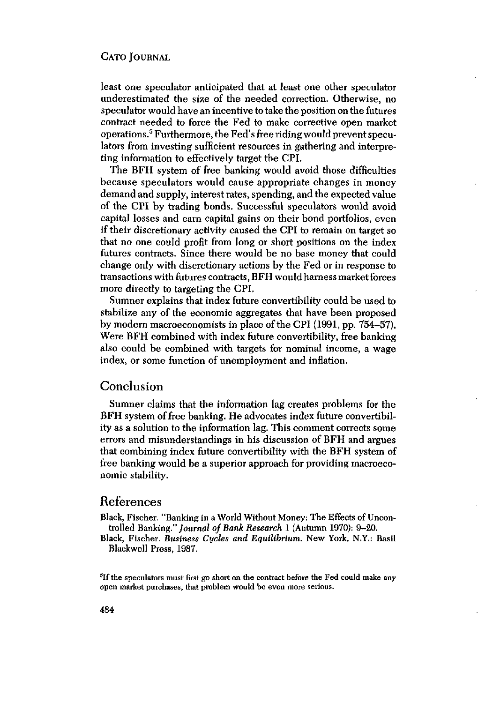least one speculator anticipated that at least one other speculator underestimated the size of the needed correction. Otherwise, no speculator would have an incentive to take the position on the futures contract needed to force the Fed to make corrective open market operations.5 Furthermore, the Fed's free ridingwould prevent speculators from investing sufficient resources in gathering and interpreting information to effectively target the CPI.

The BFH system of free banking would avoid those difficulties because speculators would cause appropriate changes in money demand and supply, interest rates, spending, and the expected value of the CPI by trading bonds. Successful speculators would avoid capital losses and earn capital gains on their bond portfolios, even if their discretionary activity caused the CPI to remain on target so that no one could profit from long or short positions on the index futures contracts. Since there would be no base money that could change only with discretionary actions by the Fed or in response to transactions with futures contracts, BFH would harness market forces more directly to targeting the CPI.

Sumner explains that index future convertibility could be used to stabilize any of the economic aggregates that have been proposed by modern macroeconomists in place of the CPI (1991, pp. 754–57). Were BFH combined with index future convertibility, free banking also could be combined with targets for nominal income, a wage index, or some function of unemployment and inflation.

# Conclusion

Sumner claims that the information lag creates problems for the BFH system of free banking. He advocates index future convertibility as a solution to the information lag. This comment corrects some errors and misunderstandings in his discussion of BFH and argues that combining index future convertibility with the BFH system of free banking would be a superior approach for providing macroeconomic stability.

#### References

Black, Fischer. "Banking in a World Without Money: The Effects of Uncontrolled Banking." *Journal of Bank Research* 1 (Autumn 1970): 9-20.

Black, Fischer. *Business Cycles and Equilibrium.* New York, N.Y.: Basil Blackwell Press, 1987.

<sup>5</sup>If the speculators must first go short on the contract before the Fed could make any open market purchases, that problem would be even more serious.